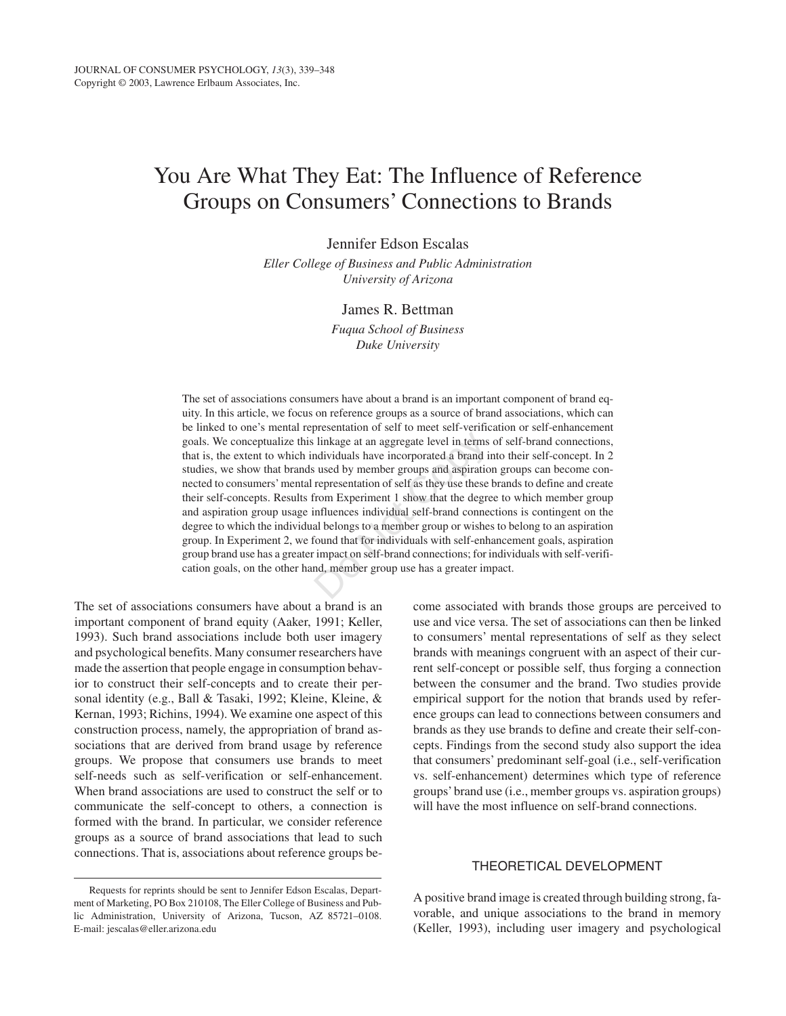# You Are What They Eat: The Influence of Reference Groups on Consumers' Connections to Brands

Jennifer Edson Escalas

*Eller College of Business and Public Administration University of Arizona*

# James R. Bettman

*Fuqua School of Business Duke University*

The set of associations consumers have about a brand is an important component of brand equity. In this article, we focus on reference groups as a source of brand associations, which can be linked to one's mental representation of self to meet self-verification or self-enhancement goals. We conceptualize this linkage at an aggregate level in terms of self-brand connections, that is, the extent to which individuals have incorporated a brand into their self-concept. In 2 studies, we show that brands used by member groups and aspiration groups can become connected to consumers' mental representation of self as they use these brands to define and create their self-concepts. Results from Experiment 1 show that the degree to which member group and aspiration group usage influences individual self-brand connections is contingent on the degree to which the individual belongs to a member group or wishes to belong to an aspiration group. In Experiment 2, we found that for individuals with self-enhancement goals, aspiration group brand use has a greater impact on self-brand connections; for individuals with self-verification goals, on the other hand, member group use has a greater impact. Inkage at an aggregate level in terms<br>Individuals have incorporated a brand in<br>sused by member groups and aspiratio<br>representation of self as they use these<br>from Experiment 1 show that the degree<br>influences individual self

The set of associations consumers have about a brand is an important component of brand equity (Aaker, 1991; Keller, 1993). Such brand associations include both user imagery and psychological benefits. Many consumer researchers have made the assertion that people engage in consumption behavior to construct their self-concepts and to create their personal identity (e.g., Ball & Tasaki, 1992; Kleine, Kleine, & Kernan, 1993; Richins, 1994). We examine one aspect of this construction process, namely, the appropriation of brand associations that are derived from brand usage by reference groups. We propose that consumers use brands to meet self-needs such as self-verification or self-enhancement. When brand associations are used to construct the self or to communicate the self-concept to others, a connection is formed with the brand. In particular, we consider reference groups as a source of brand associations that lead to such connections. That is, associations about reference groups become associated with brands those groups are perceived to use and vice versa. The set of associations can then be linked to consumers' mental representations of self as they select brands with meanings congruent with an aspect of their current self-concept or possible self, thus forging a connection between the consumer and the brand. Two studies provide empirical support for the notion that brands used by reference groups can lead to connections between consumers and brands as they use brands to define and create their self-concepts. Findings from the second study also support the idea that consumers' predominant self-goal (i.e., self-verification vs. self-enhancement) determines which type of reference groups'brand use (i.e., member groups vs. aspiration groups) will have the most influence on self-brand connections.

## THEORETICAL DEVELOPMENT

A positive brand image is created through building strong, favorable, and unique associations to the brand in memory (Keller, 1993), including user imagery and psychological

Requests for reprints should be sent to Jennifer Edson Escalas, Department of Marketing, PO Box 210108, The Eller College of Business and Public Administration, University of Arizona, Tucson, AZ 85721–0108. E-mail: jescalas@eller.arizona.edu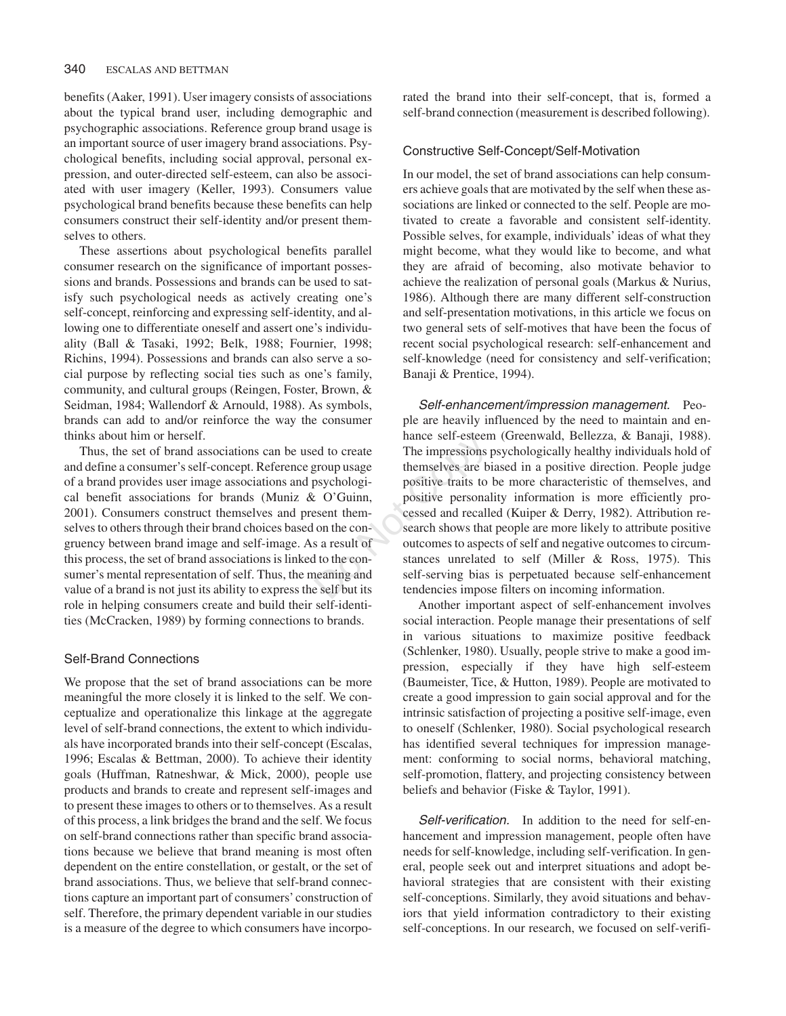benefits (Aaker, 1991). User imagery consists of associations about the typical brand user, including demographic and psychographic associations. Reference group brand usage is an important source of user imagery brand associations. Psychological benefits, including social approval, personal expression, and outer-directed self-esteem, can also be associated with user imagery (Keller, 1993). Consumers value psychological brand benefits because these benefits can help consumers construct their self-identity and/or present themselves to others.

These assertions about psychological benefits parallel consumer research on the significance of important possessions and brands. Possessions and brands can be used to satisfy such psychological needs as actively creating one's self-concept, reinforcing and expressing self-identity, and allowing one to differentiate oneself and assert one's individuality (Ball & Tasaki, 1992; Belk, 1988; Fournier, 1998; Richins, 1994). Possessions and brands can also serve a social purpose by reflecting social ties such as one's family, community, and cultural groups (Reingen, Foster, Brown, & Seidman, 1984; Wallendorf & Arnould, 1988). As symbols, brands can add to and/or reinforce the way the consumer thinks about him or herself.

Thus, the set of brand associations can be used to create and define a consumer's self-concept. Reference group usage of a brand provides user image associations and psychological benefit associations for brands (Muniz & O'Guinn, 2001). Consumers construct themselves and present themselves to others through their brand choices based on the congruency between brand image and self-image. As a result of this process, the set of brand associations is linked to the consumer's mental representation of self. Thus, the meaning and value of a brand is not just its ability to express the self but its role in helping consumers create and build their self-identities (McCracken, 1989) by forming connections to brands.

## Self-Brand Connections

We propose that the set of brand associations can be more meaningful the more closely it is linked to the self. We conceptualize and operationalize this linkage at the aggregate level of self-brand connections, the extent to which individuals have incorporated brands into their self-concept (Escalas, 1996; Escalas & Bettman, 2000). To achieve their identity goals (Huffman, Ratneshwar, & Mick, 2000), people use products and brands to create and represent self-images and to present these images to others or to themselves. As a result of this process, a link bridges the brand and the self. We focus on self-brand connections rather than specific brand associations because we believe that brand meaning is most often dependent on the entire constellation, or gestalt, or the set of brand associations. Thus, we believe that self-brand connections capture an important part of consumers' construction of self. Therefore, the primary dependent variable in our studies is a measure of the degree to which consumers have incorporated the brand into their self-concept, that is, formed a self-brand connection (measurement is described following).

#### Constructive Self-Concept/Self-Motivation

In our model, the set of brand associations can help consumers achieve goals that are motivated by the self when these associations are linked or connected to the self. People are motivated to create a favorable and consistent self-identity. Possible selves, for example, individuals' ideas of what they might become, what they would like to become, and what they are afraid of becoming, also motivate behavior to achieve the realization of personal goals (Markus & Nurius, 1986). Although there are many different self-construction and self-presentation motivations, in this article we focus on two general sets of self-motives that have been the focus of recent social psychological research: self-enhancement and self-knowledge (need for consistency and self-verification; Banaji & Prentice, 1994).

Self-enhancement/impression management. People are heavily influenced by the need to maintain and enhance self-esteem (Greenwald, Bellezza, & Banaji, 1988). The impressions psychologically healthy individuals hold of themselves are biased in a positive direction. People judge positive traits to be more characteristic of themselves, and positive personality information is more efficiently processed and recalled (Kuiper & Derry, 1982). Attribution research shows that people are more likely to attribute positive outcomes to aspects of self and negative outcomes to circumstances unrelated to self (Miller & Ross, 1975). This self-serving bias is perpetuated because self-enhancement tendencies impose filters on incoming information. hance self-esteen<br>
group usage<br>
group usage<br>
themselves are bi<br>
psychologi-<br>
positive traits to<br>
z O'Guinn,<br>
positive personal<br>
sesent them-<br>
cessed and recall<br>
on the con-<br>
search shows that<br>
s a result of<br>
d to the con-<br>

Another important aspect of self-enhancement involves social interaction. People manage their presentations of self in various situations to maximize positive feedback (Schlenker, 1980). Usually, people strive to make a good impression, especially if they have high self-esteem (Baumeister, Tice, & Hutton, 1989). People are motivated to create a good impression to gain social approval and for the intrinsic satisfaction of projecting a positive self-image, even to oneself (Schlenker, 1980). Social psychological research has identified several techniques for impression management: conforming to social norms, behavioral matching, self-promotion, flattery, and projecting consistency between beliefs and behavior (Fiske & Taylor, 1991).

Self-verification. In addition to the need for self-enhancement and impression management, people often have needs for self-knowledge, including self-verification. In general, people seek out and interpret situations and adopt behavioral strategies that are consistent with their existing self-conceptions. Similarly, they avoid situations and behaviors that yield information contradictory to their existing self-conceptions. In our research, we focused on self-verifi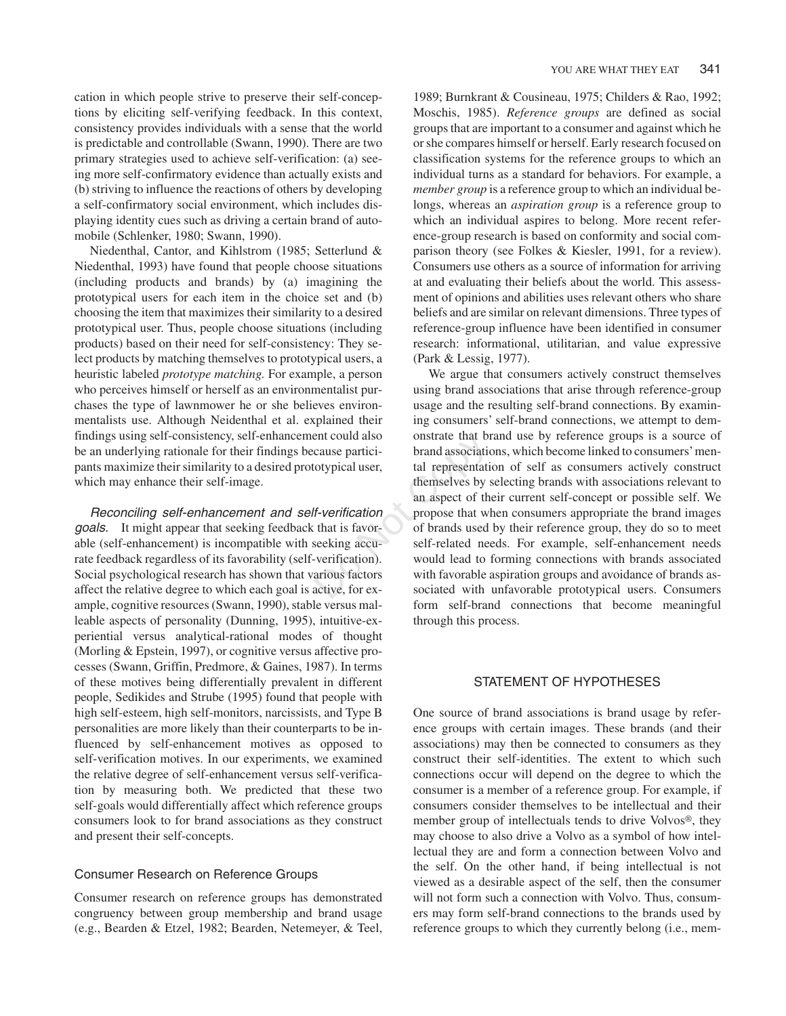cation in which people strive to preserve their self-conceptions by eliciting self-verifying feedback. In this context, consistency provides individuals with a sense that the world is predictable and controllable (Swann, 1990). There are two primary strategies used to achieve self-verification: (a) seeing more self-confirmatory evidence than actually exists and (b) striving to influence the reactions of others by developing a self-confirmatory social environment, which includes dis-

mobile (Schlenker, 1980; Swann, 1990). Niedenthal, Cantor, and Kihlstrom (1985; Setterlund & Niedenthal, 1993) have found that people choose situations (including products and brands) by (a) imagining the prototypical users for each item in the choice set and (b) choosing the item that maximizes their similarity to a desired prototypical user. Thus, people choose situations (including products) based on their need for self-consistency: They select products by matching themselves to prototypical users, a heuristic labeled *prototype matching.* For example, a person who perceives himself or herself as an environmentalist purchases the type of lawnmower he or she believes environmentalists use. Although Neidenthal et al. explained their findings using self-consistency, self-enhancement could also be an underlying rationale for their findings because participants maximize their similarity to a desired prototypical user, which may enhance their self-image.

playing identity cues such as driving a certain brand of auto-

Reconciling self-enhancement and self-verification goals. It might appear that seeking feedback that is favorable (self-enhancement) is incompatible with seeking accurate feedback regardless of its favorability (self-verification). Social psychological research has shown that various factors affect the relative degree to which each goal is active, for example, cognitive resources (Swann, 1990), stable versus malleable aspects of personality (Dunning, 1995), intuitive-experiential versus analytical-rational modes of thought (Morling & Epstein, 1997), or cognitive versus affective processes (Swann, Griffin, Predmore, & Gaines, 1987). In terms of these motives being differentially prevalent in different people, Sedikides and Strube (1995) found that people with high self-esteem, high self-monitors, narcissists, and Type B personalities are more likely than their counterparts to be influenced by self-enhancement motives as opposed to self-verification motives. In our experiments, we examined the relative degree of self-enhancement versus self-verification by measuring both. We predicted that these two self-goals would differentially affect which reference groups consumers look to for brand associations as they construct and present their self-concepts.

## Consumer Research on Reference Groups

Consumer research on reference groups has demonstrated congruency between group membership and brand usage (e.g., Bearden & Etzel, 1982; Bearden, Netemeyer, & Teel,

1989; Burnkrant & Cousineau, 1975; Childers & Rao, 1992; Moschis, 1985). *Reference groups* are defined as social groups that are important to a consumer and against which he or she compares himself or herself. Early research focused on classification systems for the reference groups to which an individual turns as a standard for behaviors. For example, a *member group* is a reference group to which an individual belongs, whereas an *aspiration group* is a reference group to which an individual aspires to belong. More recent reference-group research is based on conformity and social comparison theory (see Folkes & Kiesler, 1991, for a review). Consumers use others as a source of information for arriving at and evaluating their beliefs about the world. This assessment of opinions and abilities uses relevant others who share beliefs and are similar on relevant dimensions. Three types of reference-group influence have been identified in consumer research: informational, utilitarian, and value expressive (Park & Lessig, 1977).

We argue that consumers actively construct themselves using brand associations that arise through reference-group usage and the resulting self-brand connections. By examining consumers' self-brand connections, we attempt to demonstrate that brand use by reference groups is a source of brand associations, which become linked to consumers'mental representation of self as consumers actively construct themselves by selecting brands with associations relevant to an aspect of their current self-concept or possible self. We propose that when consumers appropriate the brand images of brands used by their reference group, they do so to meet self-related needs. For example, self-enhancement needs would lead to forming connections with brands associated with favorable aspiration groups and avoidance of brands associated with unfavorable prototypical users. Consumers form self-brand connections that become meaningful through this process. ent could also<br>
cause partici-<br>
totypical user,<br>
tal representation<br>
themselves by s<br>
an aspect of the<br>
that is favor-<br>
that is favor-<br>
seeking accu-<br>
verification).<br>
would lead to intervalse active, for ex-<br>
sociated with

## STATEMENT OF HYPOTHESES

One source of brand associations is brand usage by reference groups with certain images. These brands (and their associations) may then be connected to consumers as they construct their self-identities. The extent to which such connections occur will depend on the degree to which the consumer is a member of a reference group. For example, if consumers consider themselves to be intellectual and their member group of intellectuals tends to drive Volvos®, they may choose to also drive a Volvo as a symbol of how intellectual they are and form a connection between Volvo and the self. On the other hand, if being intellectual is not viewed as a desirable aspect of the self, then the consumer will not form such a connection with Volvo. Thus, consumers may form self-brand connections to the brands used by reference groups to which they currently belong (i.e., mem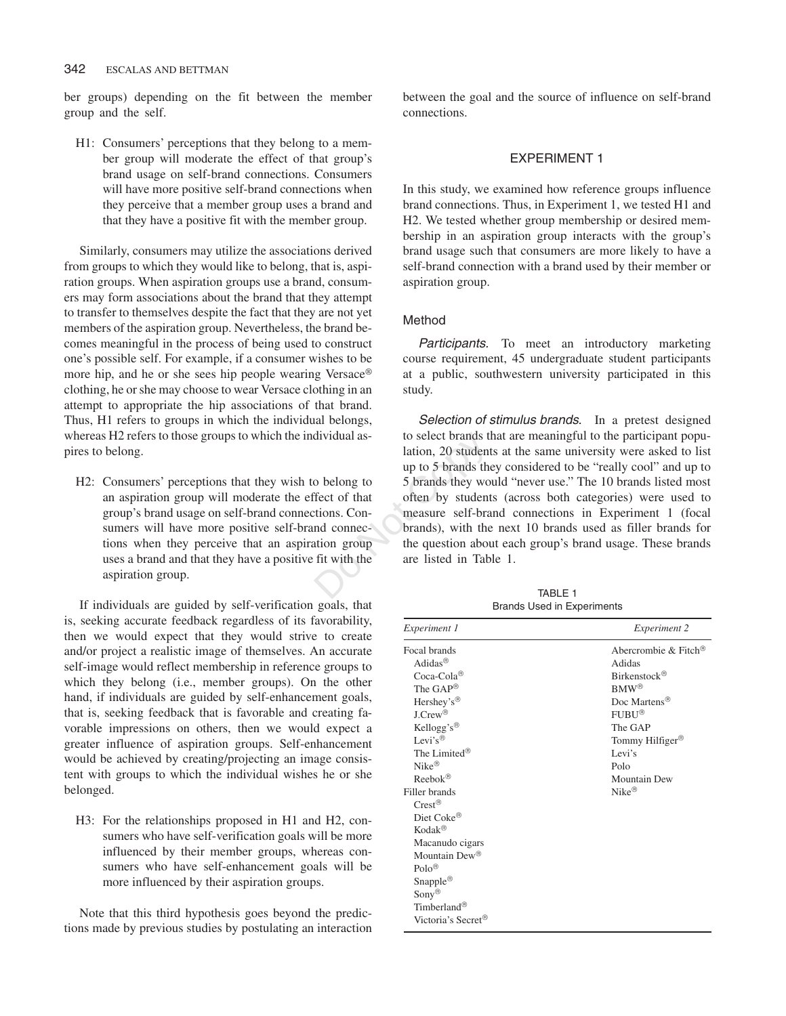ber groups) depending on the fit between the member group and the self.

H1: Consumers' perceptions that they belong to a member group will moderate the effect of that group's brand usage on self-brand connections. Consumers will have more positive self-brand connections when they perceive that a member group uses a brand and that they have a positive fit with the member group.

Similarly, consumers may utilize the associations derived from groups to which they would like to belong, that is, aspiration groups. When aspiration groups use a brand, consumers may form associations about the brand that they attempt to transfer to themselves despite the fact that they are not yet members of the aspiration group. Nevertheless, the brand becomes meaningful in the process of being used to construct one's possible self. For example, if a consumer wishes to be more hip, and he or she sees hip people wearing Versace® clothing, he or she may choose to wear Versace clothing in an attempt to appropriate the hip associations of that brand. Thus, H1 refers to groups in which the individual belongs, whereas H2 refers to those groups to which the individual aspires to belong.

H2: Consumers' perceptions that they wish to belong to an aspiration group will moderate the effect of that group's brand usage on self-brand connections. Consumers will have more positive self-brand connections when they perceive that an aspiration group uses a brand and that they have a positive fit with the aspiration group.

If individuals are guided by self-verification goals, that is, seeking accurate feedback regardless of its favorability, then we would expect that they would strive to create and/or project a realistic image of themselves. An accurate self-image would reflect membership in reference groups to which they belong (i.e., member groups). On the other hand, if individuals are guided by self-enhancement goals, that is, seeking feedback that is favorable and creating favorable impressions on others, then we would expect a greater influence of aspiration groups. Self-enhancement would be achieved by creating/projecting an image consistent with groups to which the individual wishes he or she belonged.

H3: For the relationships proposed in H1 and H2, consumers who have self-verification goals will be more influenced by their member groups, whereas consumers who have self-enhancement goals will be more influenced by their aspiration groups.

Note that this third hypothesis goes beyond the predictions made by previous studies by postulating an interaction between the goal and the source of influence on self-brand connections.

## EXPERIMENT 1

In this study, we examined how reference groups influence brand connections. Thus, in Experiment 1, we tested H1 and H2. We tested whether group membership or desired membership in an aspiration group interacts with the group's brand usage such that consumers are more likely to have a self-brand connection with a brand used by their member or aspiration group.

## Method

Participants. To meet an introductory marketing course requirement, 45 undergraduate student participants at a public, southwestern university participated in this study.

Selection of stimulus brands. In a pretest designed to select brands that are meaningful to the participant population, 20 students at the same university were asked to list up to 5 brands they considered to be "really cool" and up to 5 brands they would "never use." The 10 brands listed most often by students (across both categories) were used to measure self-brand connections in Experiment 1 (focal brands), with the next 10 brands used as filler brands for the question about each group's brand usage. These brands are listed in Table 1. dividual as-<br>
lation, 20 student<br>
up to 5 brands the<br>
o belong to<br>
5 brands they wo<br>
ffect of that<br>
often by student<br>
tions. Con-<br>
measure self-brand connec-<br>
brands), with the<br>
fit with the<br>
the question about<br>
fit with t

TABLE 1 Brands Used in Experiments

| Experiment 1                   | Experiment 2                     |
|--------------------------------|----------------------------------|
| Focal brands                   | Abercrombie & Fitch <sup>®</sup> |
| Adidas <sup>®</sup>            | Adidas                           |
| $Coca-Cola^{\circledR}$        | Birkenstock <sup>®</sup>         |
| The $GAP^{\circledR}$          | $BMW^@$                          |
| Hershey's <sup>®</sup>         | Doc Martens <sup>®</sup>         |
| $J.Crew^@$                     | FUBU®                            |
| Kellogg's®                     | The GAP                          |
| Levi's <sup>®</sup>            | Tommy Hilfiger <sup>®</sup>      |
| The Limited <sup>®</sup>       | Levi's                           |
| $Nike^{\circledR}$             | Polo                             |
| $Reebok^@$                     | Mountain Dew                     |
| Filler brands                  | $Nike^{\circledR}$               |
| $Crest^{\circledR}$            |                                  |
| Diet Coke <sup>®</sup>         |                                  |
| Kodak®                         |                                  |
| Macanudo cigars                |                                  |
| Mountain Dew <sup>®</sup>      |                                  |
| $Polo^{\circledR}$             |                                  |
| Snapple <sup>®</sup>           |                                  |
| $\text{Sony}^{\circledR}$      |                                  |
| Timberland <sup>®</sup>        |                                  |
| Victoria's Secret <sup>®</sup> |                                  |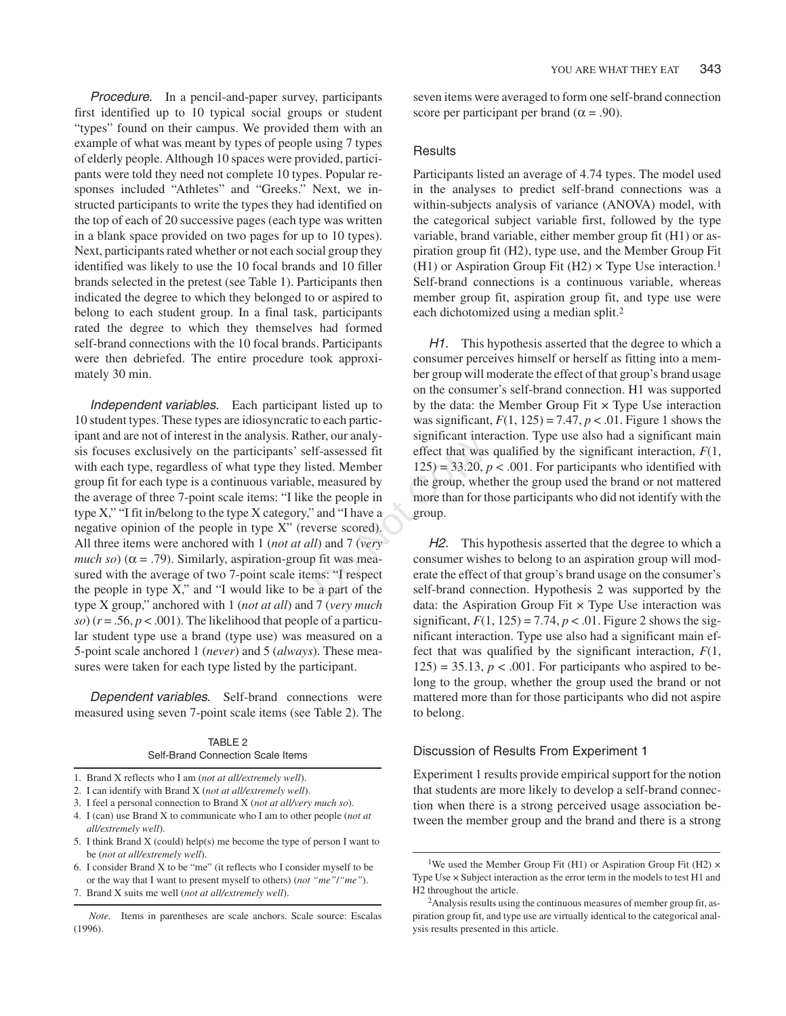Procedure. In a pencil-and-paper survey, participants first identified up to 10 typical social groups or student "types" found on their campus. We provided them with an example of what was meant by types of people using 7 types of elderly people. Although 10 spaces were provided, participants were told they need not complete 10 types. Popular responses included "Athletes" and "Greeks." Next, we instructed participants to write the types they had identified on the top of each of 20 successive pages (each type was written in a blank space provided on two pages for up to 10 types). Next, participants rated whether or not each social group they identified was likely to use the 10 focal brands and 10 filler brands selected in the pretest (see Table 1). Participants then indicated the degree to which they belonged to or aspired to belong to each student group. In a final task, participants rated the degree to which they themselves had formed self-brand connections with the 10 focal brands. Participants were then debriefed. The entire procedure took approximately 30 min.

Independent variables. Each participant listed up to 10 student types. These types are idiosyncratic to each participant and are not of interest in the analysis. Rather, our analysis focuses exclusively on the participants' self-assessed fit with each type, regardless of what type they listed. Member group fit for each type is a continuous variable, measured by the average of three 7-point scale items: "I like the people in type X," "I fit in/belong to the type X category," and "I have a negative opinion of the people in type X" (reverse scored). All three items were anchored with 1 (*not at all*) and 7 (*very much so*) ( $\alpha$  = .79). Similarly, aspiration-group fit was measured with the average of two 7-point scale items: "I respect the people in type X," and "I would like to be a part of the type X group," anchored with 1 (*not at all*) and 7 (*very much*  $s$ o) ( $r = .56$ ,  $p < .001$ ). The likelihood that people of a particular student type use a brand (type use) was measured on a 5-point scale anchored 1 (*never*) and 5 (*always*). These measures were taken for each type listed by the participant. er, our analy-<br>
lf-assessed fit<br>
sted. Member<br>
sted. Member<br>
the people in<br>
the people in<br>
and "I have a<br>
group.<br>
werse scored).<br>
The a<br>
verse scored.<br>
The a<br>
verse scored.<br>
The a<br>
step of the self-brand contracts are peo

Dependent variables. Self-brand connections were measured using seven 7-point scale items (see Table 2). The

| TABLE 2                           |  |
|-----------------------------------|--|
| Self-Brand Connection Scale Items |  |

<sup>1.</sup> Brand X reflects who I am (*not at all/extremely well*).

- 5. I think Brand X (could) help(s) me become the type of person I want to be (*not at all/extremely well*).
- 6. I consider Brand X to be "me" (it reflects who I consider myself to be or the way that I want to present myself to others) (*not "me"*/*"me"*).
- 7. Brand X suits me well (*not at all/extremely well*).

seven items were averaged to form one self-brand connection score per participant per brand ( $\alpha$  = .90).

## **Results**

Participants listed an average of 4.74 types. The model used in the analyses to predict self-brand connections was a within-subjects analysis of variance (ANOVA) model, with the categorical subject variable first, followed by the type variable, brand variable, either member group fit (H1) or aspiration group fit (H2), type use, and the Member Group Fit (H1) or Aspiration Group Fit (H2)  $\times$  Type Use interaction.<sup>1</sup> Self-brand connections is a continuous variable, whereas member group fit, aspiration group fit, and type use were each dichotomized using a median split.2

H1. This hypothesis asserted that the degree to which a consumer perceives himself or herself as fitting into a member group will moderate the effect of that group's brand usage on the consumer's self-brand connection. H1 was supported by the data: the Member Group Fit  $\times$  Type Use interaction was significant,  $F(1, 125) = 7.47$ ,  $p < .01$ . Figure 1 shows the significant interaction. Type use also had a significant main effect that was qualified by the significant interaction, *F*(1,  $125$ ) = 33.20,  $p < .001$ . For participants who identified with the group, whether the group used the brand or not mattered more than for those participants who did not identify with the group.

H2. This hypothesis asserted that the degree to which a consumer wishes to belong to an aspiration group will moderate the effect of that group's brand usage on the consumer's self-brand connection. Hypothesis 2 was supported by the data: the Aspiration Group Fit  $\times$  Type Use interaction was significant,  $F(1, 125) = 7.74$ ,  $p < .01$ . Figure 2 shows the significant interaction. Type use also had a significant main effect that was qualified by the significant interaction, *F*(1,  $125$ ) = 35.13,  $p < .001$ . For participants who aspired to belong to the group, whether the group used the brand or not mattered more than for those participants who did not aspire to belong.

#### Discussion of Results From Experiment 1

Experiment 1 results provide empirical support for the notion that students are more likely to develop a self-brand connection when there is a strong perceived usage association between the member group and the brand and there is a strong

<sup>2.</sup> I can identify with Brand X (*not at all/extremely well*).

<sup>3.</sup> I feel a personal connection to Brand X (*not at all/very much so*).

<sup>4.</sup> I (can) use Brand X to communicate who I am to other people (*not at all/extremely well*).

*Note.* Items in parentheses are scale anchors. Scale source: Escalas (1996).

<sup>&</sup>lt;sup>1</sup>We used the Member Group Fit (H1) or Aspiration Group Fit (H2)  $\times$ Type Use × Subject interaction as the error term in the models to test H1 and H2 throughout the article.

<sup>2</sup>Analysis results using the continuous measures of member group fit, aspiration group fit, and type use are virtually identical to the categorical analysis results presented in this article.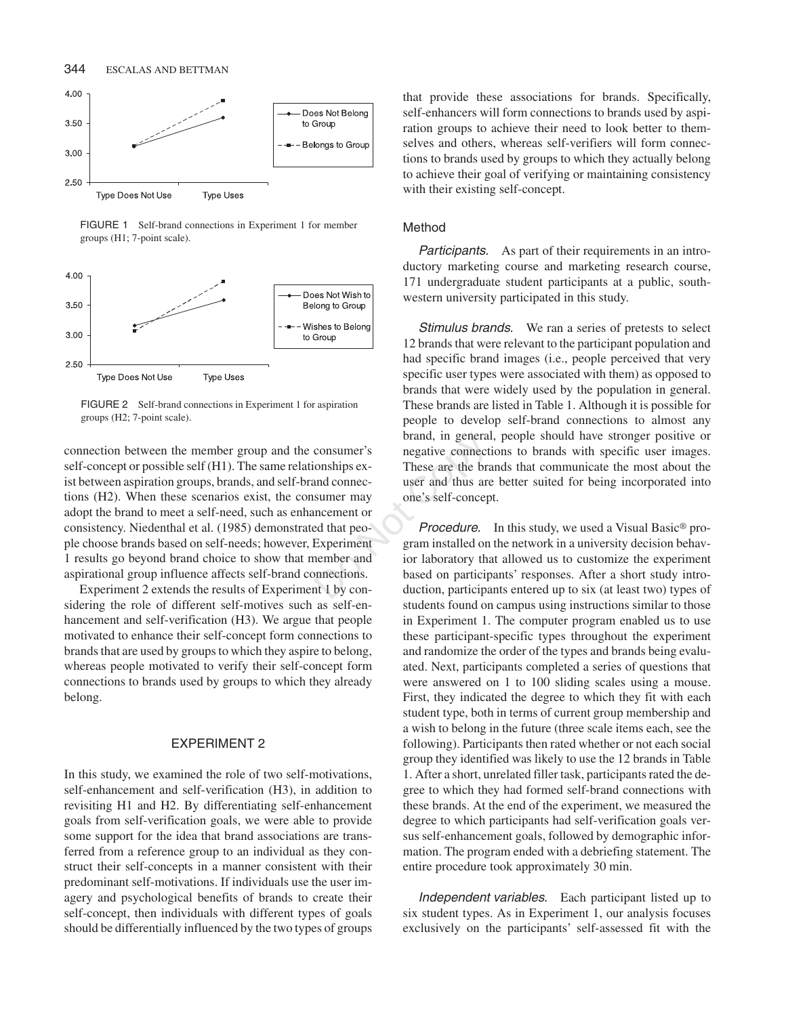

FIGURE 1 Self-brand connections in Experiment 1 for member groups (H1; 7-point scale).



**Type Uses** Type Does Not Use

FIGURE 2 Self-brand connections in Experiment 1 for aspiration groups (H2; 7-point scale).

connection between the member group and the consumer's self-concept or possible self (H1). The same relationships exist between aspiration groups, brands, and self-brand connections (H2). When these scenarios exist, the consumer may adopt the brand to meet a self-need, such as enhancement or consistency. Niedenthal et al. (1985) demonstrated that people choose brands based on self-needs; however, Experiment 1 results go beyond brand choice to show that member and aspirational group influence affects self-brand connections. brand, in general<br>consumer's<br>ionships ex-<br>and connec-<br>user and thus are<br>sumer may<br>one's self-concep<br>incement or<br>ed that peo-<br>Experiment<br>gram installed on<br>ember and<br>ior laboratory that<br>onnections.<br>based on participa<br>t 1 by

Experiment 2 extends the results of Experiment 1 by considering the role of different self-motives such as self-enhancement and self-verification (H3). We argue that people motivated to enhance their self-concept form connections to brands that are used by groups to which they aspire to belong, whereas people motivated to verify their self-concept form connections to brands used by groups to which they already belong.

## EXPERIMENT 2

In this study, we examined the role of two self-motivations, self-enhancement and self-verification (H3), in addition to revisiting H1 and H2. By differentiating self-enhancement goals from self-verification goals, we were able to provide some support for the idea that brand associations are transferred from a reference group to an individual as they construct their self-concepts in a manner consistent with their predominant self-motivations. If individuals use the user imagery and psychological benefits of brands to create their self-concept, then individuals with different types of goals should be differentially influenced by the two types of groups that provide these associations for brands. Specifically, self-enhancers will form connections to brands used by aspiration groups to achieve their need to look better to themselves and others, whereas self-verifiers will form connections to brands used by groups to which they actually belong to achieve their goal of verifying or maintaining consistency with their existing self-concept.

## Method

Participants. As part of their requirements in an introductory marketing course and marketing research course, 171 undergraduate student participants at a public, southwestern university participated in this study.

Stimulus brands. We ran a series of pretests to select 12 brands that were relevant to the participant population and had specific brand images (i.e., people perceived that very specific user types were associated with them) as opposed to brands that were widely used by the population in general. These brands are listed in Table 1. Although it is possible for people to develop self-brand connections to almost any brand, in general, people should have stronger positive or negative connections to brands with specific user images. These are the brands that communicate the most about the user and thus are better suited for being incorporated into one's self-concept.

Procedure. In this study, we used a Visual Basic® program installed on the network in a university decision behavior laboratory that allowed us to customize the experiment based on participants' responses. After a short study introduction, participants entered up to six (at least two) types of students found on campus using instructions similar to those in Experiment 1. The computer program enabled us to use these participant-specific types throughout the experiment and randomize the order of the types and brands being evaluated. Next, participants completed a series of questions that were answered on 1 to 100 sliding scales using a mouse. First, they indicated the degree to which they fit with each student type, both in terms of current group membership and a wish to belong in the future (three scale items each, see the following). Participants then rated whether or not each social group they identified was likely to use the 12 brands in Table 1. After a short, unrelated filler task, participants rated the degree to which they had formed self-brand connections with these brands. At the end of the experiment, we measured the degree to which participants had self-verification goals versus self-enhancement goals, followed by demographic information. The program ended with a debriefing statement. The entire procedure took approximately 30 min.

Independent variables. Each participant listed up to six student types. As in Experiment 1, our analysis focuses exclusively on the participants' self-assessed fit with the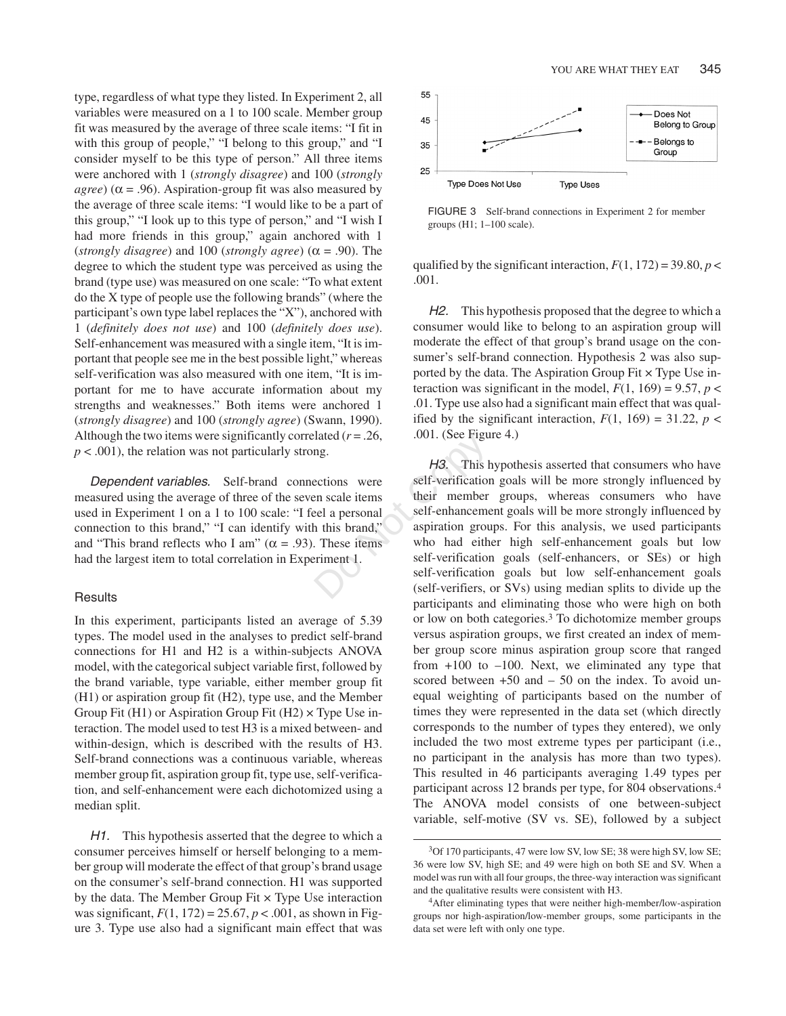type, regardless of what type they listed. In Experiment 2, all variables were measured on a 1 to 100 scale. Member group fit was measured by the average of three scale items: "I fit in with this group of people," "I belong to this group," and "I consider myself to be this type of person." All three items were anchored with 1 (*strongly disagree*) and 100 (*strongly agree*) ( $\alpha$  = .96). Aspiration-group fit was also measured by the average of three scale items: "I would like to be a part of this group," "I look up to this type of person," and "I wish I had more friends in this group," again anchored with 1 (*strongly disagree*) and 100 (*strongly agree*) (α = .90). The degree to which the student type was perceived as using the brand (type use) was measured on one scale: "To what extent do the X type of people use the following brands" (where the participant's own type label replaces the "X"), anchored with 1 (*definitely does not use*) and 100 (*definitely does use*). Self-enhancement was measured with a single item, "It is important that people see me in the best possible light," whereas self-verification was also measured with one item, "It is important for me to have accurate information about my strengths and weaknesses." Both items were anchored 1 (*strongly disagree*) and 100 (*strongly agree*) (Swann, 1990). Although the two items were significantly correlated  $(r = .26, )$  $p < .001$ ), the relation was not particularly strong.

Dependent variables. Self-brand connections were measured using the average of three of the seven scale items used in Experiment 1 on a 1 to 100 scale: "I feel a personal connection to this brand," "I can identify with this brand," and "This brand reflects who I am" ( $\alpha$  = .93). These items had the largest item to total correlation in Experiment 1.

#### **Results**

In this experiment, participants listed an average of 5.39 types. The model used in the analyses to predict self-brand connections for H1 and H2 is a within-subjects ANOVA model, with the categorical subject variable first, followed by the brand variable, type variable, either member group fit (H1) or aspiration group fit (H2), type use, and the Member Group Fit (H1) or Aspiration Group Fit (H2)  $\times$  Type Use interaction. The model used to test H3 is a mixed between- and within-design, which is described with the results of H3. Self-brand connections was a continuous variable, whereas member group fit, aspiration group fit, type use, self-verification, and self-enhancement were each dichotomized using a median split.

H1. This hypothesis asserted that the degree to which a consumer perceives himself or herself belonging to a member group will moderate the effect of that group's brand usage on the consumer's self-brand connection. H1 was supported by the data. The Member Group Fit  $\times$  Type Use interaction was significant,  $F(1, 172) = 25.67$ ,  $p < .001$ , as shown in Figure 3. Type use also had a significant main effect that was



FIGURE 3 Self-brand connections in Experiment 2 for member groups (H1; 1–100 scale).

qualified by the significant interaction,  $F(1, 172) = 39.80, p <$ .001.

H2. This hypothesis proposed that the degree to which a consumer would like to belong to an aspiration group will moderate the effect of that group's brand usage on the consumer's self-brand connection. Hypothesis 2 was also supported by the data. The Aspiration Group Fit  $\times$  Type Use interaction was significant in the model,  $F(1, 169) = 9.57$ ,  $p <$ .01. Type use also had a significant main effect that was qualified by the significant interaction,  $F(1, 169) = 31.22$ ,  $p <$ .001. (See Figure 4.)

H3. This hypothesis asserted that consumers who have self-verification goals will be more strongly influenced by their member groups, whereas consumers who have self-enhancement goals will be more strongly influenced by aspiration groups. For this analysis, we used participants who had either high self-enhancement goals but low self-verification goals (self-enhancers, or SEs) or high self-verification goals but low self-enhancement goals (self-verifiers, or SVs) using median splits to divide up the participants and eliminating those who were high on both or low on both categories.3 To dichotomize member groups versus aspiration groups, we first created an index of member group score minus aspiration group score that ranged from  $+100$  to  $-100$ . Next, we eliminated any type that scored between  $+50$  and  $-50$  on the index. To avoid unequal weighting of participants based on the number of times they were represented in the data set (which directly corresponds to the number of types they entered), we only included the two most extreme types per participant (i.e., no participant in the analysis has more than two types). This resulted in 46 participants averaging 1.49 types per participant across 12 brands per type, for 804 observations.4 The ANOVA model consists of one between-subject variable, self-motive (SV vs. SE), followed by a subject Figure 1.26,  $\frac{1}{2}$ . UDI. (See Figure)<br>
ng.<br>  $\frac{1}{3}$ . This hections were<br>
en scale items<br>
their member<br>
eel a personal<br>
this brand," aspiration group<br>
These items<br>
who had eith<br>
riment 1. Self-verification<br>
self-veri

<sup>3</sup>Of 170 participants, 47 were low SV, low SE; 38 were high SV, low SE; 36 were low SV, high SE; and 49 were high on both SE and SV. When a model was run with all four groups, the three-way interaction was significant and the qualitative results were consistent with H3.

<sup>4</sup>After eliminating types that were neither high-member/low-aspiration groups nor high-aspiration/low-member groups, some participants in the data set were left with only one type.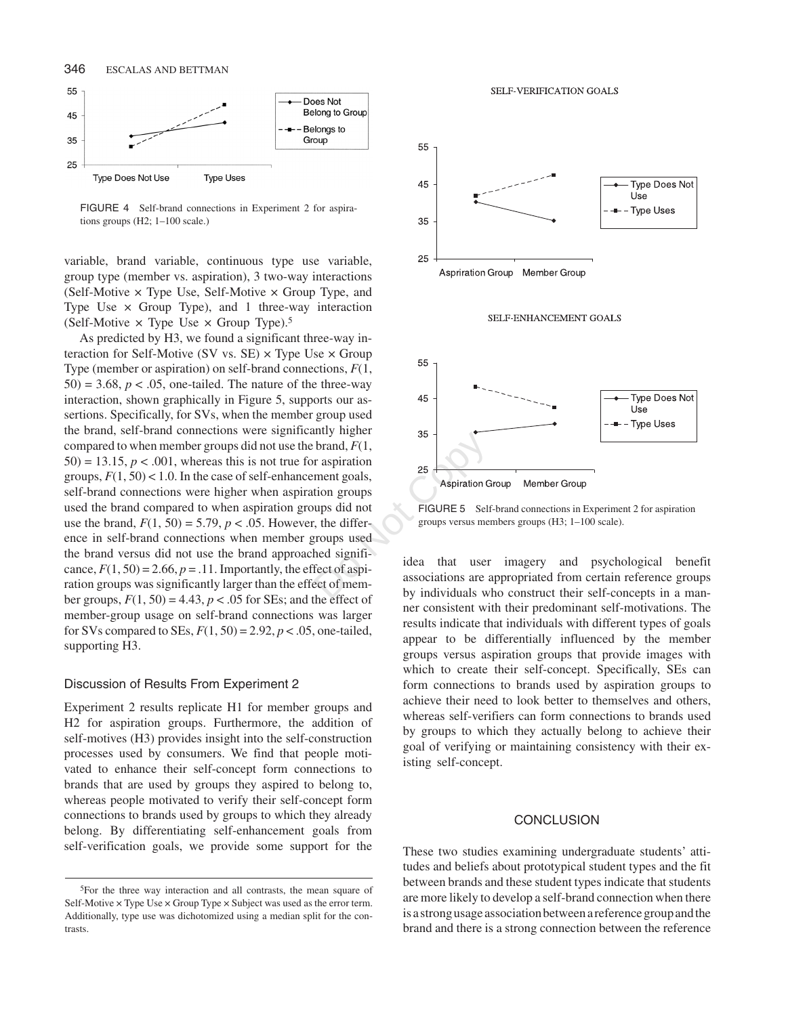

FIGURE 4 Self-brand connections in Experiment 2 for aspirations groups (H2; 1–100 scale.)

variable, brand variable, continuous type use variable, group type (member vs. aspiration), 3 two-way interactions (Self-Motive  $\times$  Type Use, Self-Motive  $\times$  Group Type, and Type Use  $\times$  Group Type), and 1 three-way interaction (Self-Motive  $\times$  Type Use  $\times$  Group Type).<sup>5</sup>

As predicted by H3, we found a significant three-way interaction for Self-Motive (SV vs. SE) × Type Use × Group Type (member or aspiration) on self-brand connections, *F*(1,  $50$ ) = 3.68,  $p < .05$ , one-tailed. The nature of the three-way interaction, shown graphically in Figure 5, supports our assertions. Specifically, for SVs, when the member group used the brand, self-brand connections were significantly higher compared to when member groups did not use the brand, *F*(1,  $50$ ) = 13.15,  $p < .001$ , whereas this is not true for aspiration groups,  $F(1, 50)$  < 1.0. In the case of self-enhancement goals, self-brand connections were higher when aspiration groups used the brand compared to when aspiration groups did not use the brand,  $F(1, 50) = 5.79$ ,  $p < .05$ . However, the difference in self-brand connections when member groups used the brand versus did not use the brand approached significance,  $F(1, 50) = 2.66$ ,  $p = .11$ . Importantly, the effect of aspiration groups was significantly larger than the effect of member groups,  $F(1, 50) = 4.43$ ,  $p < .05$  for SEs; and the effect of member-group usage on self-brand connections was larger for SVs compared to SEs,  $F(1, 50) = 2.92$ ,  $p < .05$ , one-tailed, supporting H3. mand, F(1,<br>
and, F(1,<br>
and, F(1,<br>
and, F(1,<br>
and, F(1,<br>
and, F(1,<br>
and, F(1,<br>
and, F(1,<br>
and, F(1,<br>
and, F(1,<br>
and, Copy)<br>
and Significand Pictor of Spin-<br>
and Significand Pictor of Spin-<br>
associations are a<br>
by individual

#### Discussion of Results From Experiment 2

Experiment 2 results replicate H1 for member groups and H2 for aspiration groups. Furthermore, the addition of self-motives (H3) provides insight into the self-construction processes used by consumers. We find that people motivated to enhance their self-concept form connections to brands that are used by groups they aspired to belong to, whereas people motivated to verify their self-concept form connections to brands used by groups to which they already belong. By differentiating self-enhancement goals from self-verification goals, we provide some support for the



SELF-VERIFICATION GOALS

FIGURE 5 Self-brand connections in Experiment 2 for aspiration groups versus members groups (H3; 1–100 scale).

idea that user imagery and psychological benefit associations are appropriated from certain reference groups by individuals who construct their self-concepts in a manner consistent with their predominant self-motivations. The results indicate that individuals with different types of goals appear to be differentially influenced by the member groups versus aspiration groups that provide images with which to create their self-concept. Specifically, SEs can form connections to brands used by aspiration groups to achieve their need to look better to themselves and others, whereas self-verifiers can form connections to brands used by groups to which they actually belong to achieve their goal of verifying or maintaining consistency with their existing self-concept.

## **CONCLUSION**

These two studies examining undergraduate students' attitudes and beliefs about prototypical student types and the fit between brands and these student types indicate that students are more likely to develop a self-brand connection when there is a strong usage association between a reference group and the brand and there is a strong connection between the reference

<sup>5</sup>For the three way interaction and all contrasts, the mean square of Self-Motive  $\times$  Type Use  $\times$  Group Type  $\times$  Subject was used as the error term. Additionally, type use was dichotomized using a median split for the contrasts.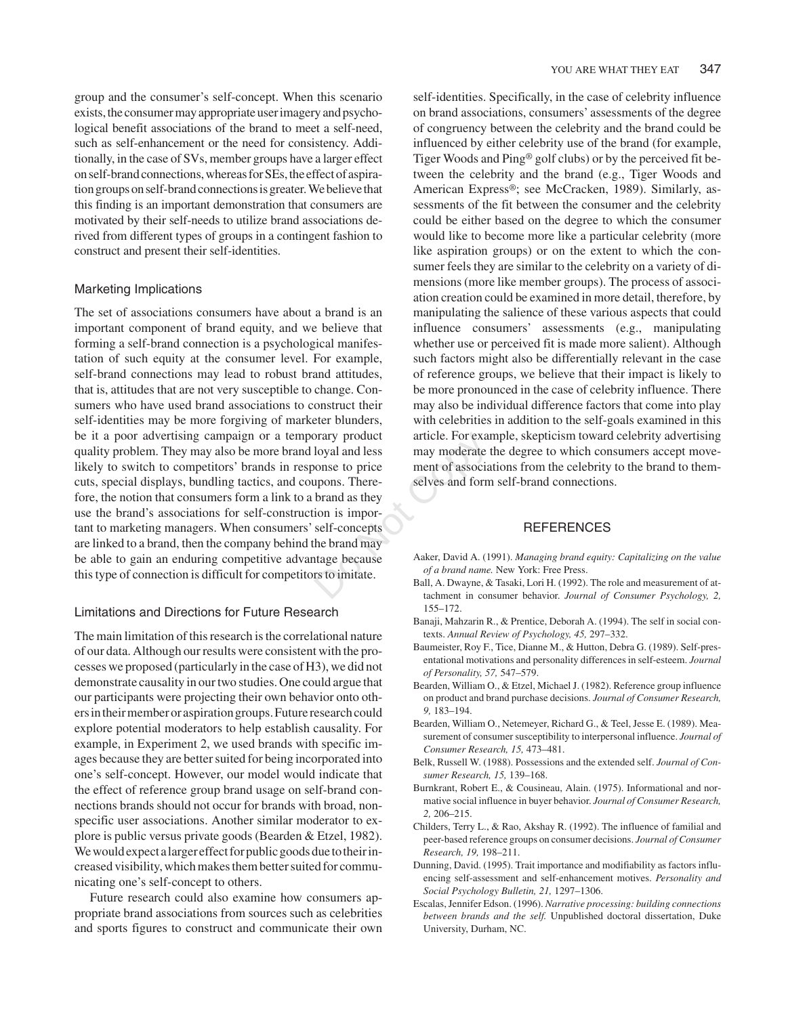group and the consumer's self-concept. When this scenario exists, the consumer may appropriate user imagery and psychological benefit associations of the brand to meet a self-need, such as self-enhancement or the need for consistency. Additionally, in the case of SVs, member groups have a larger effect on self-brand connections, whereas for SEs, the effect of aspiration groups on self-brand connections is greater. We believe that this finding is an important demonstration that consumers are motivated by their self-needs to utilize brand associations derived from different types of groups in a contingent fashion to construct and present their self-identities.

## Marketing Implications

The set of associations consumers have about a brand is an important component of brand equity, and we believe that forming a self-brand connection is a psychological manifestation of such equity at the consumer level. For example, self-brand connections may lead to robust brand attitudes, that is, attitudes that are not very susceptible to change. Consumers who have used brand associations to construct their self-identities may be more forgiving of marketer blunders, be it a poor advertising campaign or a temporary product quality problem. They may also be more brand loyal and less likely to switch to competitors' brands in response to price cuts, special displays, bundling tactics, and coupons. Therefore, the notion that consumers form a link to a brand as they use the brand's associations for self-construction is important to marketing managers. When consumers' self-concepts are linked to a brand, then the company behind the brand may be able to gain an enduring competitive advantage because this type of connection is difficult for competitors to imitate. orary product<br>
loyal and less<br>
may moderate t<br>
ment of associa<br>
upons. There-<br>
brand as they<br>
ion is impor-<br>
self-concepts<br>
the brand may<br>
tage because<br>
tage because<br>
the brand may<br>
tage course<br>
the brand may<br>
tage course<br>

## Limitations and Directions for Future Research

The main limitation of this research is the correlational nature of our data. Although our results were consistent with the processes we proposed (particularly in the case of H3), we did not demonstrate causality in our two studies. One could argue that our participants were projecting their own behavior onto others in their member or aspiration groups. Future research could explore potential moderators to help establish causality. For example, in Experiment 2, we used brands with specific images because they are better suited for being incorporated into one's self-concept. However, our model would indicate that the effect of reference group brand usage on self-brand connections brands should not occur for brands with broad, nonspecific user associations. Another similar moderator to explore is public versus private goods (Bearden & Etzel, 1982). We would expect a larger effect for public goods due to their increased visibility, which makes them better suited for communicating one's self-concept to others.

Future research could also examine how consumers appropriate brand associations from sources such as celebrities and sports figures to construct and communicate their own self-identities. Specifically, in the case of celebrity influence on brand associations, consumers' assessments of the degree of congruency between the celebrity and the brand could be influenced by either celebrity use of the brand (for example, Tiger Woods and Ping® golf clubs) or by the perceived fit between the celebrity and the brand (e.g., Tiger Woods and American Express®; see McCracken, 1989). Similarly, assessments of the fit between the consumer and the celebrity could be either based on the degree to which the consumer would like to become more like a particular celebrity (more like aspiration groups) or on the extent to which the consumer feels they are similar to the celebrity on a variety of dimensions (more like member groups). The process of association creation could be examined in more detail, therefore, by manipulating the salience of these various aspects that could influence consumers' assessments (e.g., manipulating whether use or perceived fit is made more salient). Although such factors might also be differentially relevant in the case of reference groups, we believe that their impact is likely to be more pronounced in the case of celebrity influence. There may also be individual difference factors that come into play with celebrities in addition to the self-goals examined in this article. For example, skepticism toward celebrity advertising may moderate the degree to which consumers accept movement of associations from the celebrity to the brand to themselves and form self-brand connections.

#### **REFERENCES**

- Aaker, David A. (1991). *Managing brand equity: Capitalizing on the value of a brand name.* New York: Free Press.
- Ball, A. Dwayne, & Tasaki, Lori H. (1992). The role and measurement of attachment in consumer behavior. *Journal of Consumer Psychology, 2,* 155–172.
- Banaji, Mahzarin R., & Prentice, Deborah A. (1994). The self in social contexts. *Annual Review of Psychology, 45,* 297–332.
- Baumeister, Roy F., Tice, Dianne M., & Hutton, Debra G. (1989). Self-presentational motivations and personality differences in self-esteem. *Journal of Personality, 57,* 547–579.
- Bearden, William O., & Etzel, Michael J. (1982). Reference group influence on product and brand purchase decisions. *Journal of Consumer Research, 9,* 183–194.
- Bearden, William O., Netemeyer, Richard G., & Teel, Jesse E. (1989). Measurement of consumer susceptibility to interpersonal influence. *Journal of Consumer Research, 15,* 473–481.
- Belk, Russell W. (1988). Possessions and the extended self. *Journal of Consumer Research, 15,* 139–168.
- Burnkrant, Robert E., & Cousineau, Alain. (1975). Informational and normative social influence in buyer behavior. *Journal of Consumer Research, 2,* 206–215.
- Childers, Terry L., & Rao, Akshay R. (1992). The influence of familial and peer-based reference groups on consumer decisions. *Journal of Consumer Research, 19,* 198–211.
- Dunning, David. (1995). Trait importance and modifiability as factors influencing self-assessment and self-enhancement motives. *Personality and Social Psychology Bulletin, 21,* 1297–1306.
- Escalas, Jennifer Edson. (1996). *Narrative processing: building connections between brands and the self.* Unpublished doctoral dissertation, Duke University, Durham, NC.